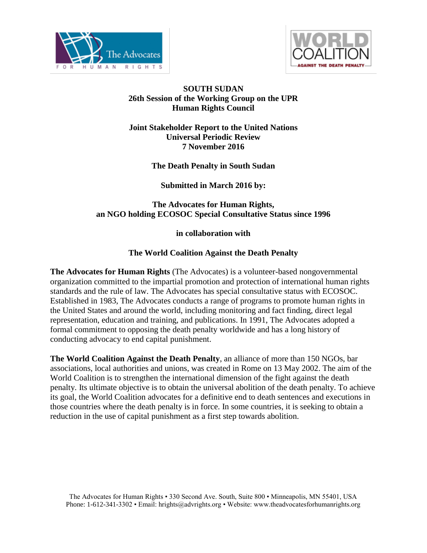



### **SOUTH SUDAN 26th Session of the Working Group on the UPR Human Rights Council**

#### **Joint Stakeholder Report to the United Nations Universal Periodic Review 7 November 2016**

**The Death Penalty in South Sudan**

**Submitted in March 2016 by:**

## **The Advocates for Human Rights, an NGO holding ECOSOC Special Consultative Status since 1996**

### **in collaboration with**

### **The World Coalition Against the Death Penalty**

**The Advocates for Human Rights** (The Advocates) is a volunteer-based nongovernmental organization committed to the impartial promotion and protection of international human rights standards and the rule of law. The Advocates has special consultative status with ECOSOC. Established in 1983, The Advocates conducts a range of programs to promote human rights in the United States and around the world, including monitoring and fact finding, direct legal representation, education and training, and publications. In 1991, The Advocates adopted a formal commitment to opposing the death penalty worldwide and has a long history of conducting advocacy to end capital punishment.

**The World Coalition Against the Death Penalty**, an alliance of more than 150 NGOs, bar associations, local authorities and unions, was created in Rome on 13 May 2002. The aim of the World Coalition is to strengthen the international dimension of the fight against the death penalty. Its ultimate objective is to obtain the universal abolition of the death penalty. To achieve its goal, the World Coalition advocates for a definitive end to death sentences and executions in those countries where the death penalty is in force. In some countries, it is seeking to obtain a reduction in the use of capital punishment as a first step towards abolition.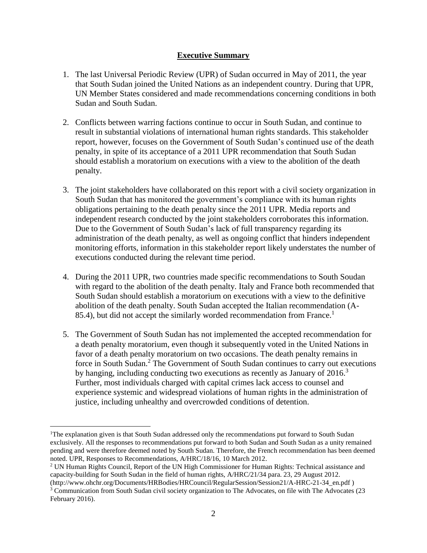#### **Executive Summary**

- 1. The last Universal Periodic Review (UPR) of Sudan occurred in May of 2011, the year that South Sudan joined the United Nations as an independent country. During that UPR, UN Member States considered and made recommendations concerning conditions in both Sudan and South Sudan.
- 2. Conflicts between warring factions continue to occur in South Sudan, and continue to result in substantial violations of international human rights standards. This stakeholder report, however, focuses on the Government of South Sudan's continued use of the death penalty, in spite of its acceptance of a 2011 UPR recommendation that South Sudan should establish a moratorium on executions with a view to the abolition of the death penalty.
- 3. The joint stakeholders have collaborated on this report with a civil society organization in South Sudan that has monitored the government's compliance with its human rights obligations pertaining to the death penalty since the 2011 UPR. Media reports and independent research conducted by the joint stakeholders corroborates this information. Due to the Government of South Sudan's lack of full transparency regarding its administration of the death penalty, as well as ongoing conflict that hinders independent monitoring efforts, information in this stakeholder report likely understates the number of executions conducted during the relevant time period.
- 4. During the 2011 UPR, two countries made specific recommendations to South Soudan with regard to the abolition of the death penalty. Italy and France both recommended that South Sudan should establish a moratorium on executions with a view to the definitive abolition of the death penalty. South Sudan accepted the Italian recommendation (A-85.4), but did not accept the similarly worded recommendation from France.<sup>1</sup>
- 5. The Government of South Sudan has not implemented the accepted recommendation for a death penalty moratorium, even though it subsequently voted in the United Nations in favor of a death penalty moratorium on two occasions. The death penalty remains in force in South Sudan.<sup>2</sup> The Government of South Sudan continues to carry out executions by hanging, including conducting two executions as recently as January of  $2016<sup>3</sup>$ Further, most individuals charged with capital crimes lack access to counsel and experience systemic and widespread violations of human rights in the administration of justice, including unhealthy and overcrowded conditions of detention.

<sup>&</sup>lt;sup>1</sup>The explanation given is that South Sudan addressed only the recommendations put forward to South Sudan exclusively. All the responses to recommendations put forward to both Sudan and South Sudan as a unity remained pending and were therefore deemed noted by South Sudan. Therefore, the French recommendation has been deemed noted. UPR, Responses to Recommendations, A/HRC/18/16, 10 March 2012.

<sup>2</sup> UN Human Rights Council, Report of the UN High Commissioner for Human Rights: Technical assistance and capacity-building for South Sudan in the field of human rights, A/HRC/21/34 para. 23, 29 August 2012.

[<sup>\(</sup>http://www.ohchr.org/Documents/HRBodies/HRCouncil/RegularSession/Session21/A-HRC-21-34\\_en.pdf](http://www.ohchr.org/Documents/HRBodies/HRCouncil/RegularSession/Session21/A-HRC-21-34_en.pdf) ) <sup>3</sup> Communication from South Sudan civil society organization to The Advocates, on file with The Advocates (23 February 2016).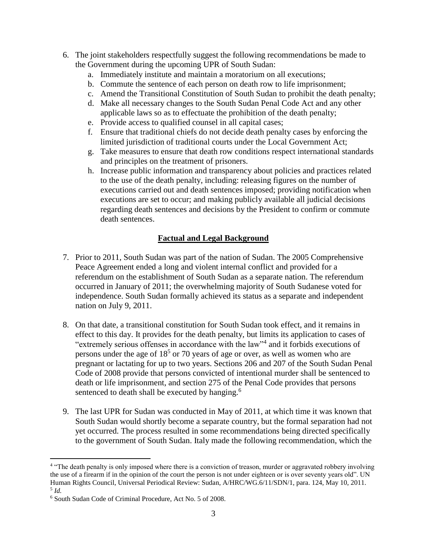- 6. The joint stakeholders respectfully suggest the following recommendations be made to the Government during the upcoming UPR of South Sudan:
	- a. Immediately institute and maintain a moratorium on all executions;
	- b. Commute the sentence of each person on death row to life imprisonment;
	- c. Amend the Transitional Constitution of South Sudan to prohibit the death penalty;
	- d. Make all necessary changes to the South Sudan Penal Code Act and any other applicable laws so as to effectuate the prohibition of the death penalty;
	- e. Provide access to qualified counsel in all capital cases;
	- f. Ensure that traditional chiefs do not decide death penalty cases by enforcing the limited jurisdiction of traditional courts under the Local Government Act;
	- g. Take measures to ensure that death row conditions respect international standards and principles on the treatment of prisoners.
	- h. Increase public information and transparency about policies and practices related to the use of the death penalty, including: releasing figures on the number of executions carried out and death sentences imposed; providing notification when executions are set to occur; and making publicly available all judicial decisions regarding death sentences and decisions by the President to confirm or commute death sentences.

# **Factual and Legal Background**

- 7. Prior to 2011, South Sudan was part of the nation of Sudan. The 2005 Comprehensive Peace Agreement ended a long and violent internal conflict and provided for a referendum on the establishment of South Sudan as a separate nation. The referendum occurred in January of 2011; the overwhelming majority of South Sudanese voted for independence. South Sudan formally achieved its status as a separate and independent nation on July 9, 2011.
- 8. On that date, a transitional constitution for South Sudan took effect, and it remains in effect to this day. It provides for the death penalty, but limits its application to cases of "extremely serious offenses in accordance with the law"<sup>4</sup> and it forbids executions of persons under the age of  $18<sup>5</sup>$  or 70 years of age or over, as well as women who are pregnant or lactating for up to two years. Sections 206 and 207 of the South Sudan Penal Code of 2008 provide that persons convicted of intentional murder shall be sentenced to death or life imprisonment, and section 275 of the Penal Code provides that persons sentenced to death shall be executed by hanging.<sup>6</sup>
- 9. The last UPR for Sudan was conducted in May of 2011, at which time it was known that South Sudan would shortly become a separate country, but the formal separation had not yet occurred. The process resulted in some recommendations being directed specifically to the government of South Sudan. Italy made the following recommendation, which the

<sup>&</sup>lt;sup>4</sup> "The death penalty is only imposed where there is a conviction of treason, murder or aggravated robbery involving the use of a firearm if in the opinion of the court the person is not under eighteen or is over seventy years old". UN Human Rights Council, Universal Periodical Review: Sudan, A/HRC/WG.6/11/SDN/1, para. 124, May 10, 2011. 5 *Id.*

<sup>6</sup> South Sudan Code of Criminal Procedure, Act No. 5 of 2008.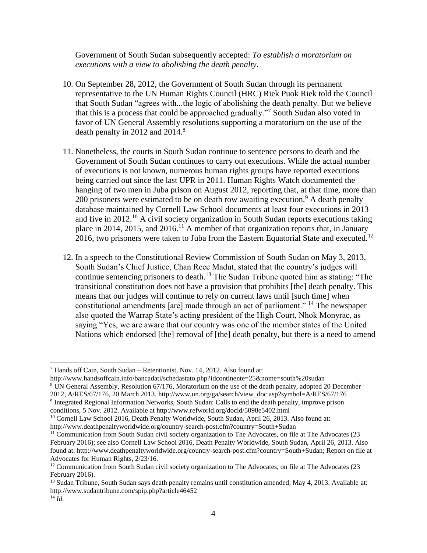Government of South Sudan subsequently accepted: *To establish a moratorium on executions with a view to abolishing the death penalty*.

- 10. On September 28, 2012, the Government of South Sudan through its permanent representative to the UN Human Rights Council (HRC) Riek Puok Riek told the Council that South Sudan "agrees with...the logic of abolishing the death penalty. But we believe that this is a process that could be approached gradually."<sup>7</sup> South Sudan also voted in favor of UN General Assembly resolutions supporting a moratorium on the use of the death penalty in 2012 and 2014.<sup>8</sup>
- 11. Nonetheless, the courts in South Sudan continue to sentence persons to death and the Government of South Sudan continues to carry out executions. While the actual number of executions is not known, numerous human rights groups have reported executions being carried out since the last UPR in 2011. Human Rights Watch documented the hanging of two men in Juba prison on August 2012, reporting that, at that time, more than 200 prisoners were estimated to be on death row awaiting execution.<sup>9</sup> A death penalty database maintained by Cornell Law School documents at least four executions in 2013 and five in  $2012<sup>10</sup>$  A civil society organization in South Sudan reports executions taking place in 2014, 2015, and 2016.<sup>11</sup> A member of that organization reports that, in January 2016, two prisoners were taken to Juba from the Eastern Equatorial State and executed.<sup>12</sup>
- 12. In a speech to the Constitutional Review Commission of South Sudan on May 3, 2013, South Sudan's Chief Justice, Chan Reec Madut, stated that the country's judges will continue sentencing prisoners to death.<sup>13</sup> The Sudan Tribune quoted him as stating: "The transitional constitution does not have a provision that prohibits [the] death penalty. This means that our judges will continue to rely on current laws until [such time] when constitutional amendments [are] made through an act of parliament." <sup>14</sup> The newspaper also quoted the Warrap State's acting president of the High Court, Nhok Monyrac, as saying "Yes, we are aware that our country was one of the member states of the United Nations which endorsed [the] removal of [the] death penalty, but there is a need to amend

<sup>7</sup> Hands off Cain, South Sudan – Retentionist, Nov. 14, 2012. Also found at:

<http://www.handsoffcain.info/bancadati/schedastato.php?idcontinente=25&nome=south%20sudan>

<sup>8</sup> UN General Assembly, Resolution 67/176, Moratorium on the use of the death penalty, adopted 20 December

<sup>2012,</sup> A/RES/67/176, 20 March 2013. [http://www.un.org/ga/search/view\\_doc.asp?symbol=A/RES/67/176](http://www.un.org/ga/search/view_doc.asp?symbol=A/RES/67/176)

<sup>9</sup> Integrated Regional Information Networks, South Sudan: Calls to end the death penalty, improve prison

conditions, 5 Nov. 2012. Available at<http://www.refworld.org/docid/5098e5402.html>

<sup>&</sup>lt;sup>10</sup> Cornell Law School 2016, Death Penalty Worldwide, South Sudan, April 26, 2013. Also found at: http://www.deathpenaltyworldwide.org/country-search-post.cfm?country=South+Sudan

<sup>&</sup>lt;sup>11</sup> Communication from South Sudan civil society organization to The Advocates, on file at The Advocates (23

February 2016); see also Cornell Law School 2016, Death Penalty Worldwide, South Sudan, April 26, 2013. Also found at: http://www.deathpenaltyworldwide.org/country-search-post.cfm?country=South+Sudan; Report on file at Advocates for Human Rights, 2/23/16.

 $12$  Communication from South Sudan civil society organization to The Advocates, on file at The Advocates (23) February 2016).

<sup>&</sup>lt;sup>13</sup> Sudan Tribune, South Sudan says death penalty remains until constitution amended, May 4, 2013. Available at: <http://www.sudantribune.com/spip.php?article46452>  $^{14}$  *Id.*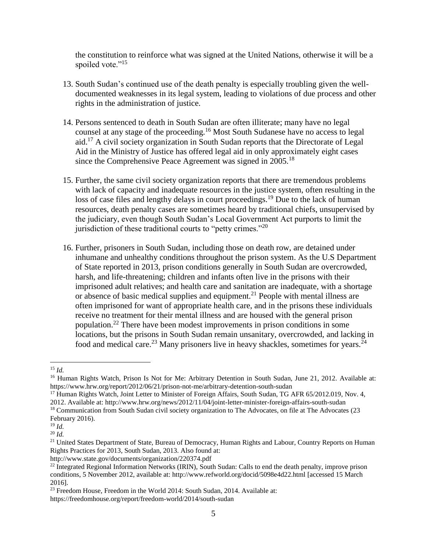the constitution to reinforce what was signed at the United Nations, otherwise it will be a spoiled vote."<sup>15</sup>

- 13. South Sudan's continued use of the death penalty is especially troubling given the welldocumented weaknesses in its legal system, leading to violations of due process and other rights in the administration of justice.
- 14. Persons sentenced to death in South Sudan are often illiterate; many have no legal counsel at any stage of the proceeding.<sup>16</sup> Most South Sudanese have no access to legal aid.<sup>17</sup> A civil society organization in South Sudan reports that the Directorate of Legal Aid in the Ministry of Justice has offered legal aid in only approximately eight cases since the Comprehensive Peace Agreement was signed in  $2005$ .<sup>18</sup>
- 15. Further, the same civil society organization reports that there are tremendous problems with lack of capacity and inadequate resources in the justice system, often resulting in the loss of case files and lengthy delays in court proceedings.<sup>19</sup> Due to the lack of human resources, death penalty cases are sometimes heard by traditional chiefs, unsupervised by the judiciary, even though South Sudan's Local Government Act purports to limit the jurisdiction of these traditional courts to "petty crimes."<sup>20</sup>
- 16. Further, prisoners in South Sudan, including those on death row, are detained under inhumane and unhealthy conditions throughout the prison system. As the U.S Department of State reported in 2013, prison conditions generally in South Sudan are overcrowded, harsh, and life-threatening; children and infants often live in the prisons with their imprisoned adult relatives; and health care and sanitation are inadequate, with a shortage or absence of basic medical supplies and equipment.<sup>21</sup> People with mental illness are often imprisoned for want of appropriate health care, and in the prisons these individuals receive no treatment for their mental illness and are housed with the general prison population.<sup>22</sup> There have been modest improvements in prison conditions in some locations, but the prisons in South Sudan remain unsanitary, overcrowded, and lacking in food and medical care.<sup>23</sup> Many prisoners live in heavy shackles, sometimes for years.<sup>24</sup>

<sup>15</sup> *Id.*

<sup>&</sup>lt;sup>16</sup> Human Rights Watch, Prison Is Not for Me: Arbitrary Detention in South Sudan, June 21, 2012. Available at: <https://www.hrw.org/report/2012/06/21/prison-not-me/arbitrary-detention-south-sudan>

<sup>&</sup>lt;sup>17</sup> Human Rights Watch, Joint Letter to Minister of Foreign Affairs, South Sudan, TG AFR 65/2012.019, Nov. 4, 2012. Available at:<http://www.hrw.org/news/2012/11/04/joint-letter-minister-foreign-affairs-south-sudan>

<sup>&</sup>lt;sup>18</sup> Communication from South Sudan civil society organization to The Advocates, on file at The Advocates (23 February 2016).

<sup>19</sup> *Id.*

<sup>20</sup> *Id.*

<sup>&</sup>lt;sup>21</sup> United States Department of State, Bureau of Democracy, Human Rights and Labour, Country Reports on Human Rights Practices for 2013, South Sudan, 2013. Also found at:

<http://www.state.gov/documents/organization/220374.pdf>

<sup>&</sup>lt;sup>22</sup> Integrated Regional Information Networks (IRIN), South Sudan: Calls to end the death penalty, improve prison conditions, 5 November 2012, available at:<http://www.refworld.org/docid/5098e4d22.html> [accessed 15 March 2016].

<sup>&</sup>lt;sup>23</sup> Freedom House, Freedom in the World 2014: South Sudan, 2014. Available at:

<https://freedomhouse.org/report/freedom-world/2014/south-sudan>